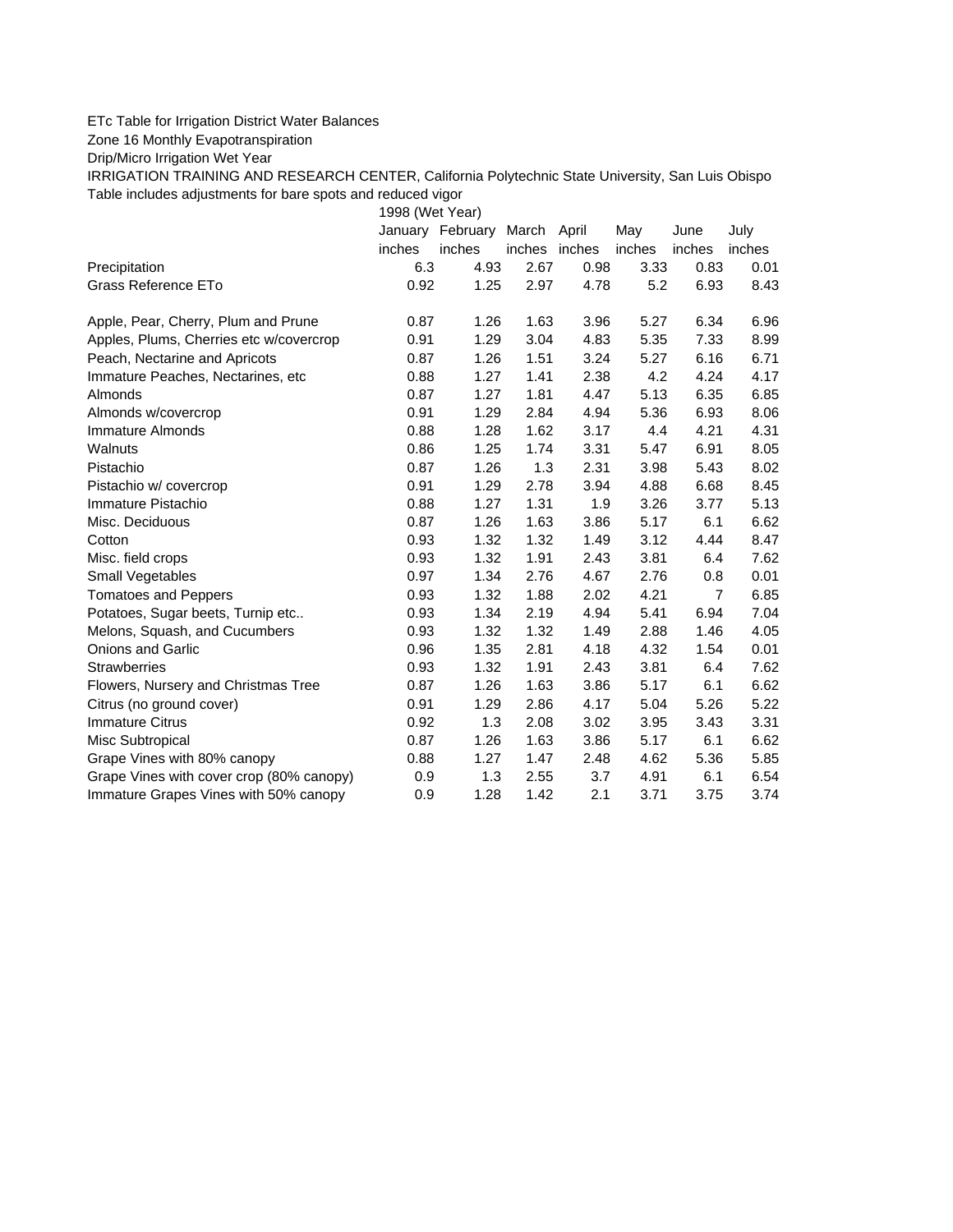## ETc Table for Irrigation District Water Balances

Zone 16 Monthly Evapotranspiration

Drip/Micro Irrigation Wet Year

IRRIGATION TRAINING AND RESEARCH CENTER, California Polytechnic State University, San Luis Obispo Table includes adjustments for bare spots and reduced vigor

1998 (Wet Year)

|                                          |        | January February March April |               |      | May    | June           | July   |
|------------------------------------------|--------|------------------------------|---------------|------|--------|----------------|--------|
|                                          | inches | inches                       | inches inches |      | inches | inches         | inches |
| Precipitation                            | 6.3    | 4.93                         | 2.67          | 0.98 | 3.33   | 0.83           | 0.01   |
| Grass Reference ETo                      | 0.92   | 1.25                         | 2.97          | 4.78 | 5.2    | 6.93           | 8.43   |
| Apple, Pear, Cherry, Plum and Prune      | 0.87   | 1.26                         | 1.63          | 3.96 | 5.27   | 6.34           | 6.96   |
| Apples, Plums, Cherries etc w/covercrop  | 0.91   | 1.29                         | 3.04          | 4.83 | 5.35   | 7.33           | 8.99   |
| Peach, Nectarine and Apricots            | 0.87   | 1.26                         | 1.51          | 3.24 | 5.27   | 6.16           | 6.71   |
| Immature Peaches, Nectarines, etc        | 0.88   | 1.27                         | 1.41          | 2.38 | 4.2    | 4.24           | 4.17   |
| <b>Almonds</b>                           | 0.87   | 1.27                         | 1.81          | 4.47 | 5.13   | 6.35           | 6.85   |
| Almonds w/covercrop                      | 0.91   | 1.29                         | 2.84          | 4.94 | 5.36   | 6.93           | 8.06   |
| Immature Almonds                         | 0.88   | 1.28                         | 1.62          | 3.17 | 4.4    | 4.21           | 4.31   |
| Walnuts                                  | 0.86   | 1.25                         | 1.74          | 3.31 | 5.47   | 6.91           | 8.05   |
| Pistachio                                | 0.87   | 1.26                         | 1.3           | 2.31 | 3.98   | 5.43           | 8.02   |
| Pistachio w/ covercrop                   | 0.91   | 1.29                         | 2.78          | 3.94 | 4.88   | 6.68           | 8.45   |
| Immature Pistachio                       | 0.88   | 1.27                         | 1.31          | 1.9  | 3.26   | 3.77           | 5.13   |
| Misc. Deciduous                          | 0.87   | 1.26                         | 1.63          | 3.86 | 5.17   | 6.1            | 6.62   |
| Cotton                                   | 0.93   | 1.32                         | 1.32          | 1.49 | 3.12   | 4.44           | 8.47   |
| Misc. field crops                        | 0.93   | 1.32                         | 1.91          | 2.43 | 3.81   | 6.4            | 7.62   |
| Small Vegetables                         | 0.97   | 1.34                         | 2.76          | 4.67 | 2.76   | 0.8            | 0.01   |
| <b>Tomatoes and Peppers</b>              | 0.93   | 1.32                         | 1.88          | 2.02 | 4.21   | $\overline{7}$ | 6.85   |
| Potatoes, Sugar beets, Turnip etc        | 0.93   | 1.34                         | 2.19          | 4.94 | 5.41   | 6.94           | 7.04   |
| Melons, Squash, and Cucumbers            | 0.93   | 1.32                         | 1.32          | 1.49 | 2.88   | 1.46           | 4.05   |
| <b>Onions and Garlic</b>                 | 0.96   | 1.35                         | 2.81          | 4.18 | 4.32   | 1.54           | 0.01   |
| <b>Strawberries</b>                      | 0.93   | 1.32                         | 1.91          | 2.43 | 3.81   | 6.4            | 7.62   |
| Flowers, Nursery and Christmas Tree      | 0.87   | 1.26                         | 1.63          | 3.86 | 5.17   | 6.1            | 6.62   |
| Citrus (no ground cover)                 | 0.91   | 1.29                         | 2.86          | 4.17 | 5.04   | 5.26           | 5.22   |
| <b>Immature Citrus</b>                   | 0.92   | 1.3                          | 2.08          | 3.02 | 3.95   | 3.43           | 3.31   |
| Misc Subtropical                         | 0.87   | 1.26                         | 1.63          | 3.86 | 5.17   | 6.1            | 6.62   |
| Grape Vines with 80% canopy              | 0.88   | 1.27                         | 1.47          | 2.48 | 4.62   | 5.36           | 5.85   |
| Grape Vines with cover crop (80% canopy) | 0.9    | 1.3                          | 2.55          | 3.7  | 4.91   | 6.1            | 6.54   |
| Immature Grapes Vines with 50% canopy    | 0.9    | 1.28                         | 1.42          | 2.1  | 3.71   | 3.75           | 3.74   |